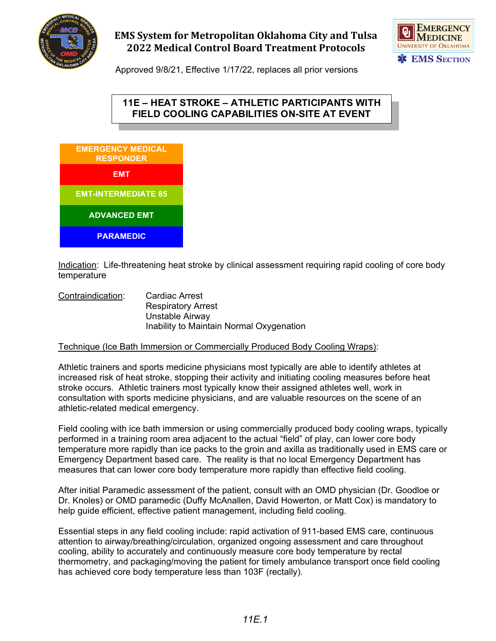

# **EMS System for Metropolitan Oklahoma City and Tulsa 2022 Medical Control Board Treatment Protocols**



Approved 9/8/21, Effective 1/17/22, replaces all prior versions

## **11E – HEAT STROKE – ATHLETIC PARTICIPANTS WITH FIELD COOLING CAPABILITIES ON-SITE AT EVENT**



Indication: Life-threatening heat stroke by clinical assessment requiring rapid cooling of core body temperature

Contraindication: Cardiac Arrest Respiratory Arrest Unstable Airway Inability to Maintain Normal Oxygenation

### Technique (Ice Bath Immersion or Commercially Produced Body Cooling Wraps):

Athletic trainers and sports medicine physicians most typically are able to identify athletes at increased risk of heat stroke, stopping their activity and initiating cooling measures before heat stroke occurs. Athletic trainers most typically know their assigned athletes well, work in consultation with sports medicine physicians, and are valuable resources on the scene of an athletic-related medical emergency.

Field cooling with ice bath immersion or using commercially produced body cooling wraps, typically performed in a training room area adjacent to the actual "field" of play, can lower core body temperature more rapidly than ice packs to the groin and axilla as traditionally used in EMS care or Emergency Department based care. The reality is that no local Emergency Department has measures that can lower core body temperature more rapidly than effective field cooling.

After initial Paramedic assessment of the patient, consult with an OMD physician (Dr. Goodloe or Dr. Knoles) or OMD paramedic (Duffy McAnallen, David Howerton, or Matt Cox) is mandatory to help guide efficient, effective patient management, including field cooling.

Essential steps in any field cooling include: rapid activation of 911-based EMS care, continuous attention to airway/breathing/circulation, organized ongoing assessment and care throughout cooling, ability to accurately and continuously measure core body temperature by rectal thermometry, and packaging/moving the patient for timely ambulance transport once field cooling has achieved core body temperature less than 103F (rectally).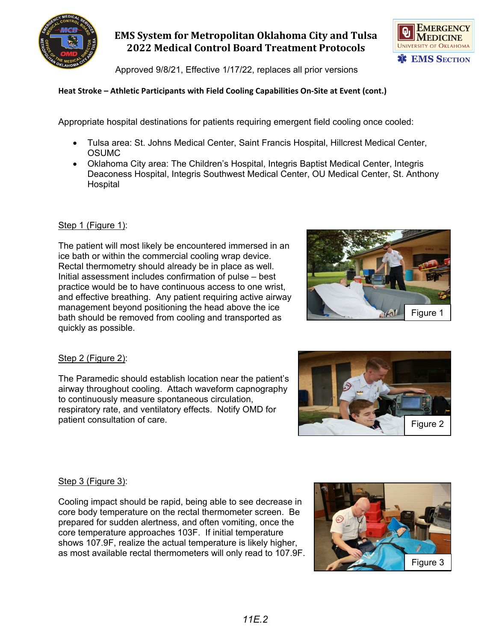

# **EMS System for Metropolitan Oklahoma City and Tulsa 2022 Medical Control Board Treatment Protocols**

Approved 9/8/21, Effective 1/17/22, replaces all prior versions

### **Heat Stroke – Athletic Participants with Field Cooling Capabilities On-Site at Event (cont.)**

Appropriate hospital destinations for patients requiring emergent field cooling once cooled:

- Tulsa area: St. Johns Medical Center, Saint Francis Hospital, Hillcrest Medical Center, **OSUMC**
- Oklahoma City area: The Children's Hospital, Integris Baptist Medical Center, Integris Deaconess Hospital, Integris Southwest Medical Center, OU Medical Center, St. Anthony **Hospital**

#### Step 1 (Figure 1):

The patient will most likely be encountered immersed in an ice bath or within the commercial cooling wrap device. Rectal thermometry should already be in place as well. Initial assessment includes confirmation of pulse – best practice would be to have continuous access to one wrist, and effective breathing. Any patient requiring active airway management beyond positioning the head above the ice bath should be removed from cooling and transported as quickly as possible.



### Step 2 (Figure 2):

The Paramedic should establish location near the patient's airway throughout cooling. Attach waveform capnography to continuously measure spontaneous circulation, respiratory rate, and ventilatory effects. Notify OMD for patient consultation of care.



### Step 3 (Figure 3):

Cooling impact should be rapid, being able to see decrease in core body temperature on the rectal thermometer screen. Be prepared for sudden alertness, and often vomiting, once the core temperature approaches 103F. If initial temperature shows 107.9F, realize the actual temperature is likely higher, as most available rectal thermometers will only read to 107.9F.